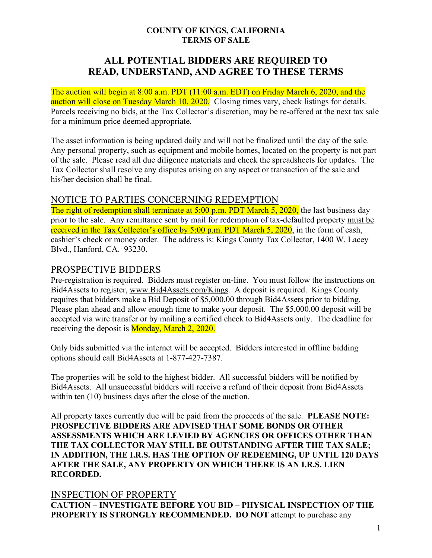#### **COUNTY OF KINGS, CALIFORNIA TERMS OF SALE**

# **ALL POTENTIAL BIDDERS ARE REQUIRED TO READ, UNDERSTAND, AND AGREE TO THESE TERMS**

The auction will begin at 8:00 a.m. PDT (11:00 a.m. EDT) on Friday March 6, 2020, and the auction will close on Tuesday March 10, 2020. Closing times vary, check listings for details. Parcels receiving no bids, at the Tax Collector's discretion, may be re-offered at the next tax sale for a minimum price deemed appropriate.

The asset information is being updated daily and will not be finalized until the day of the sale. Any personal property, such as equipment and mobile homes, located on the property is not part of the sale. Please read all due diligence materials and check the spreadsheets for updates. The Tax Collector shall resolve any disputes arising on any aspect or transaction of the sale and his/her decision shall be final.

### NOTICE TO PARTIES CONCERNING REDEMPTION

The right of redemption shall terminate at 5:00 p.m. PDT March 5, 2020, the last business day prior to the sale. Any remittance sent by mail for redemption of tax-defaulted property must be received in the Tax Collector's office by 5:00 p.m. PDT March 5, 2020, in the form of cash, cashier's check or money order. The address is: Kings County Tax Collector, 1400 W. Lacey Blvd., Hanford, CA. 93230.

### PROSPECTIVE BIDDERS

Pre-registration is required. Bidders must register on-line. You must follow the instructions on Bid4Assets to register, [www.Bid4Assets.com/Kings.](http://www.bid4assets.com/Kings) A deposit is required. Kings County requires that bidders make a Bid Deposit of \$5,000.00 through Bid4Assets prior to bidding. Please plan ahead and allow enough time to make your deposit. The \$5,000.00 deposit will be accepted via wire transfer or by mailing a certified check to Bid4Assets only. The deadline for receiving the deposit is **Monday**, March 2, 2020.

Only bids submitted via the internet will be accepted. Bidders interested in offline bidding options should call Bid4Assets at 1-877-427-7387.

The properties will be sold to the highest bidder. All successful bidders will be notified by Bid4Assets. All unsuccessful bidders will receive a refund of their deposit from Bid4Assets within ten (10) business days after the close of the auction.

All property taxes currently due will be paid from the proceeds of the sale. **PLEASE NOTE: PROSPECTIVE BIDDERS ARE ADVISED THAT SOME BONDS OR OTHER ASSESSMENTS WHICH ARE LEVIED BY AGENCIES OR OFFICES OTHER THAN THE TAX COLLECTOR MAY STILL BE OUTSTANDING AFTER THE TAX SALE; IN ADDITION, THE I.R.S. HAS THE OPTION OF REDEEMING, UP UNTIL 120 DAYS AFTER THE SALE, ANY PROPERTY ON WHICH THERE IS AN I.R.S. LIEN RECORDED.**

### INSPECTION OF PROPERTY

**CAUTION – INVESTIGATE BEFORE YOU BID – PHYSICAL INSPECTION OF THE PROPERTY IS STRONGLY RECOMMENDED. DO NOT** attempt to purchase any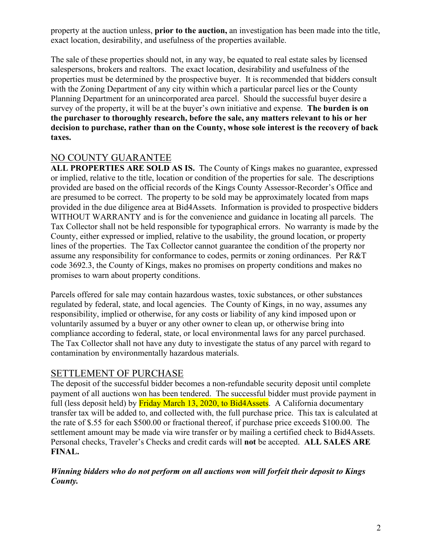property at the auction unless, **prior to the auction,** an investigation has been made into the title, exact location, desirability, and usefulness of the properties available.

The sale of these properties should not, in any way, be equated to real estate sales by licensed salespersons, brokers and realtors. The exact location, desirability and usefulness of the properties must be determined by the prospective buyer. It is recommended that bidders consult with the Zoning Department of any city within which a particular parcel lies or the County Planning Department for an unincorporated area parcel. Should the successful buyer desire a survey of the property, it will be at the buyer's own initiative and expense. **The burden is on the purchaser to thoroughly research, before the sale, any matters relevant to his or her decision to purchase, rather than on the County, whose sole interest is the recovery of back taxes.**

## NO COUNTY GUARANTEE

**ALL PROPERTIES ARE SOLD AS IS.** The County of Kings makes no guarantee, expressed or implied, relative to the title, location or condition of the properties for sale. The descriptions provided are based on the official records of the Kings County Assessor-Recorder's Office and are presumed to be correct. The property to be sold may be approximately located from maps provided in the due diligence area at Bid4Assets. Information is provided to prospective bidders WITHOUT WARRANTY and is for the convenience and guidance in locating all parcels. The Tax Collector shall not be held responsible for typographical errors. No warranty is made by the County, either expressed or implied, relative to the usability, the ground location, or property lines of the properties. The Tax Collector cannot guarantee the condition of the property nor assume any responsibility for conformance to codes, permits or zoning ordinances. Per R&T code 3692.3, the County of Kings, makes no promises on property conditions and makes no promises to warn about property conditions.

Parcels offered for sale may contain hazardous wastes, toxic substances, or other substances regulated by federal, state, and local agencies. The County of Kings, in no way, assumes any responsibility, implied or otherwise, for any costs or liability of any kind imposed upon or voluntarily assumed by a buyer or any other owner to clean up, or otherwise bring into compliance according to federal, state, or local environmental laws for any parcel purchased. The Tax Collector shall not have any duty to investigate the status of any parcel with regard to contamination by environmentally hazardous materials.

## SETTLEMENT OF PURCHASE

The deposit of the successful bidder becomes a non-refundable security deposit until complete payment of all auctions won has been tendered. The successful bidder must provide payment in full (less deposit held) by Friday March 13, 2020, to Bid4Assets. A California documentary transfer tax will be added to, and collected with, the full purchase price. This tax is calculated at the rate of \$.55 for each \$500.00 or fractional thereof, if purchase price exceeds \$100.00. The settlement amount may be made via wire transfer or by mailing a certified check to Bid4Assets. Personal checks, Traveler's Checks and credit cards will **not** be accepted. **ALL SALES ARE FINAL.**

#### *Winning bidders who do not perform on all auctions won will forfeit their deposit to Kings County.*